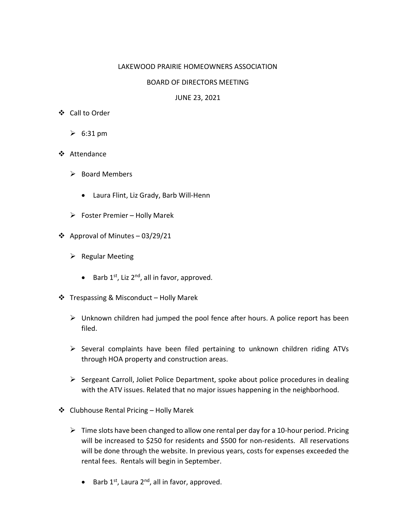## LAKEWOOD PRAIRIE HOMEOWNERS ASSOCIATION

## BOARD OF DIRECTORS MEETING

## JUNE 23, 2021

- Call to Order
	- $\geqslant$  6:31 pm
- ❖ Attendance
	- $\triangleright$  Board Members
		- Laura Flint, Liz Grady, Barb Will-Henn
	- $\triangleright$  Foster Premier Holly Marek
- ❖ Approval of Minutes 03/29/21
	- $\triangleright$  Regular Meeting
		- $\bullet$  Barb 1<sup>st</sup>, Liz 2<sup>nd</sup>, all in favor, approved.
- Trespassing & Misconduct Holly Marek
	- $\triangleright$  Unknown children had jumped the pool fence after hours. A police report has been filed.
	- $\triangleright$  Several complaints have been filed pertaining to unknown children riding ATVs through HOA property and construction areas.
	- $\triangleright$  Sergeant Carroll, Joliet Police Department, spoke about police procedures in dealing with the ATV issues. Related that no major issues happening in the neighborhood.
- Clubhouse Rental Pricing Holly Marek
	- $\triangleright$  Time slots have been changed to allow one rental per day for a 10-hour period. Pricing will be increased to \$250 for residents and \$500 for non-residents. All reservations will be done through the website. In previous years, costs for expenses exceeded the rental fees. Rentals will begin in September.
		- $\bullet$  Barb 1<sup>st</sup>, Laura 2<sup>nd</sup>, all in favor, approved.